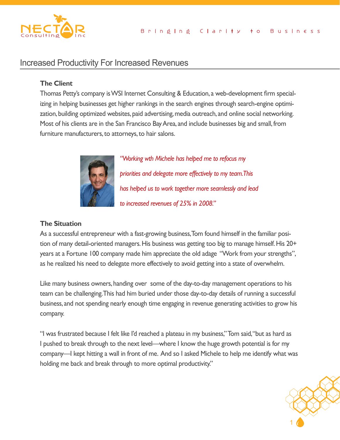

# Increased Productivity For Increased Revenues

## **The Client**

Thomas Petty's company is WSI Internet Consulting & Education, a web-development firm specializing in helping businesses get higher rankings in the search engines through search-engine optimization, building optimized websites, paid advertising, media outreach, and online social networking. Most of his clients are in the San Francisco Bay Area, and include businesses big and small, from furniture manufacturers, to attorneys, to hair salons.



*"Working wth Michele has helped me to refocus my priorities and delegate more effectively to my team. This has helped us to work together more seamlessly and lead to increased revenues of 25% in 2008."*

## **The Situation**

As a successful entrepreneur with a fast-growing business, Tom found himself in the familiar position of many detail-oriented managers. His business was getting too big to manage himself. His 20+ years at a Fortune 100 company made him appreciate the old adage "Work from your strengths", as he realized his need to delegate more effectively to avoid getting into a state of overwhelm.

Like many business owners, handing over some of the day-to-day management operations to his team can be challenging. This had him buried under those day-to-day details of running a successful business, and not spending nearly enough time engaging in revenue generating activities to grow his company.

company—I kept hitting a wall in front of me. And so I asked Michele to help me identify what was "I was frustrated because I felt like I'd reached a plateau in my business," Tom said, "but as hard as I pushed to break through to the next level—where I know the huge growth potential is for my holding me back and break through to more optimal productivity."